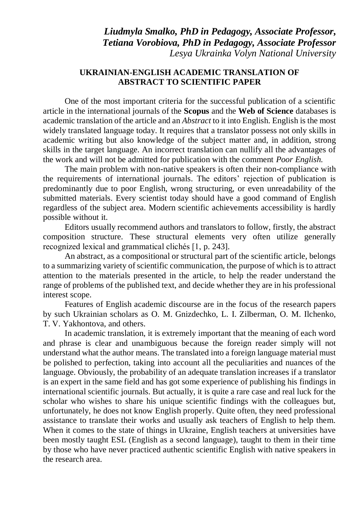*Liudmyla Smalko, PhD in Pedagogy, Associate Professor, Tetiana Vorobiova, PhD in Pedagogy, Associate Professor Lesya Ukrainka Volyn National University*

## **UKRAINIAN-ENGLISH ACADEMIC TRANSLATION OF ABSTRACT TO SCIENTIFIC PAPER**

One of the most important criteria for the successful publication of a scientific article in the international journals of the **Scopus** and the **Web of Science** databases is academic translation of the article and an *Abstract* to it into English. English is the most widely translated language today. It requires that a translator possess not only skills in academic writing but also knowledge of the subject matter and, in addition, strong skills in the target language. An incorrect translation can nullify all the advantages of the work and will not be admitted for publication with the comment *Poor English.*

The main problem with non-native speakers is often their non-compliance with the requirements of international journals. The editors' rejection of publication is predominantly due to poor English, wrong structuring, or even unreadability of the submitted materials. Every scientist today should have a good command of English regardless of the subject area. Modern scientific achievements accessibility is hardly possible without it.

Editors usually recommend authors and translators to follow, firstly, the abstract composition structure. These structural elements very often utilize generally recognized lexical and grammatical clichés [1, p. 243].

An abstract, as a compositional or structural part of the scientific article, belongs to a summarizing variety of scientific communication, the purpose of which is to attract attention to the materials presented in the article, to help the reader understand the range of problems of the published text, and decide whether they are in his professional interest scope.

Features of English academic discourse are in the focus of the research papers by such Ukrainian scholars as O. M. Gnizdechko, L. I. Zilberman, O. M. Ilchenko, T. V. Yakhontova, and others.

In academic translation, it is extremely important that the meaning of each word and phrase is clear and unambiguous because the foreign reader simply will not understand what the author means. The translated into a foreign language material must be polished to perfection, taking into account all the peculiarities and nuances of the language. Obviously, the probability of an adequate translation increases if a translator is an expert in the same field and has got some experience of publishing his findings in international scientific journals. But actually, it is quite a rare case and real luck for the scholar who wishes to share his unique scientific findings with the colleagues but, unfortunately, he does not know English properly. Quite often, they need professional assistance to translate their works and usually ask teachers of English to help them. When it comes to the state of things in Ukraine, English teachers at universities have been mostly taught ESL (English as a second language), taught to them in their time by those who have never practiced authentic scientific English with native speakers in the research area.